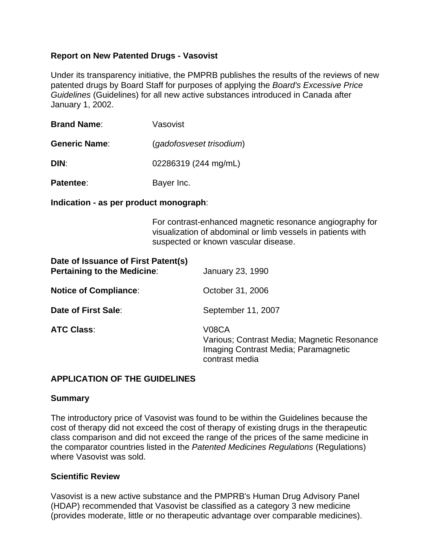## **Report on New Patented Drugs - Vasovist**

Under its transparency initiative, the PMPRB publishes the results of the reviews of new patented drugs by Board Staff for purposes of applying the *Board's Excessive Price Guidelines* (Guidelines) for all new active substances introduced in Canada after January 1, 2002.

| <b>Brand Name:</b>   | Vasovist                                         |  |
|----------------------|--------------------------------------------------|--|
| <b>Generic Name:</b> | (gadofosveset trisodium)<br>02286319 (244 mg/mL) |  |
| DIN:                 |                                                  |  |
| Patentee:            | Bayer Inc.                                       |  |

**Indication - as per product monograph**:

For contrast-enhanced magnetic resonance angiography for visualization of abdominal or limb vessels in patients with suspected or known vascular disease.

| Date of Issuance of First Patent(s)<br><b>Pertaining to the Medicine:</b> | <b>January 23, 1990</b>                                                                                                     |  |
|---------------------------------------------------------------------------|-----------------------------------------------------------------------------------------------------------------------------|--|
| <b>Notice of Compliance:</b>                                              | October 31, 2006                                                                                                            |  |
| Date of First Sale:                                                       | September 11, 2007                                                                                                          |  |
| <b>ATC Class:</b>                                                         | V <sub>08</sub> CA<br>Various; Contrast Media; Magnetic Resonance<br>Imaging Contrast Media; Paramagnetic<br>contrast media |  |

## **APPLICATION OF THE GUIDELINES**

## **Summary**

The introductory price of Vasovist was found to be within the Guidelines because the cost of therapy did not exceed the cost of therapy of existing drugs in the therapeutic class comparison and did not exceed the range of the prices of the same medicine in the comparator countries listed in the *Patented Medicines Regulations* (Regulations) where Vasovist was sold.

## **Scientific Review**

Vasovist is a new active substance and the PMPRB's Human Drug Advisory Panel (HDAP) recommended that Vasovist be classified as a category 3 new medicine (provides moderate, little or no therapeutic advantage over comparable medicines).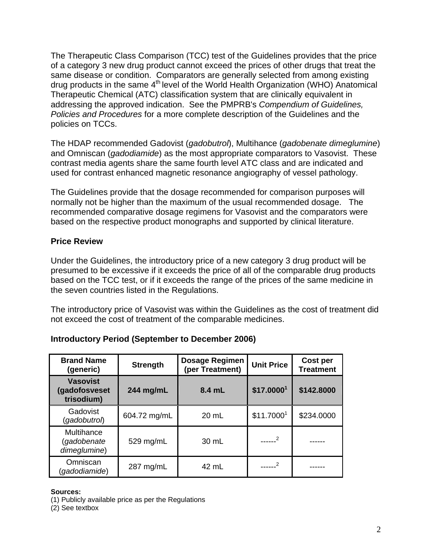The Therapeutic Class Comparison (TCC) test of the Guidelines provides that the price of a category 3 new drug product cannot exceed the prices of other drugs that treat the same disease or condition. Comparators are generally selected from among existing drug products in the same 4<sup>th</sup> level of the World Health Organization (WHO) Anatomical Therapeutic Chemical (ATC) classification system that are clinically equivalent in addressing the approved indication. See the PMPRB's *Compendium of Guidelines, Policies and Procedures* for a more complete description of the Guidelines and the policies on TCCs.

The HDAP recommended Gadovist (*gadobutrol*), Multihance (*gadobenate dimeglumine*) and Omniscan (*gadodiamide*) as the most appropriate comparators to Vasovist. These contrast media agents share the same fourth level ATC class and are indicated and used for contrast enhanced magnetic resonance angiography of vessel pathology.

The Guidelines provide that the dosage recommended for comparison purposes will normally not be higher than the maximum of the usual recommended dosage. The recommended comparative dosage regimens for Vasovist and the comparators were based on the respective product monographs and supported by clinical literature.

## **Price Review**

Under the Guidelines, the introductory price of a new category 3 drug product will be presumed to be excessive if it exceeds the price of all of the comparable drug products based on the TCC test, or if it exceeds the range of the prices of the same medicine in the seven countries listed in the Regulations.

The introductory price of Vasovist was within the Guidelines as the cost of treatment did not exceed the cost of treatment of the comparable medicines.

| <b>Brand Name</b><br>(generic)                 | <b>Strength</b> | <b>Dosage Regimen</b><br>(per Treatment) | <b>Unit Price</b> | Cost per<br><b>Treatment</b> |
|------------------------------------------------|-----------------|------------------------------------------|-------------------|------------------------------|
| <b>Vasovist</b><br>(gadofosveset<br>trisodium) | 244 mg/mL       | 8.4 mL                                   | \$17.00001        | \$142.8000                   |
| Gadovist<br>(gadobutrol)                       | 604.72 mg/mL    | $20 \text{ mL}$                          | \$11.70001        | \$234.0000                   |
| Multihance<br>(gadobenate<br>dimeglumine)      | 529 mg/mL       | 30 mL                                    |                   |                              |
| Omniscan<br>(gadodiamide)                      | 287 mg/mL       | 42 mL                                    |                   |                              |

# **Introductory Period (September to December 2006)**

## **Sources:**

(1) Publicly available price as per the Regulations

(2) See textbox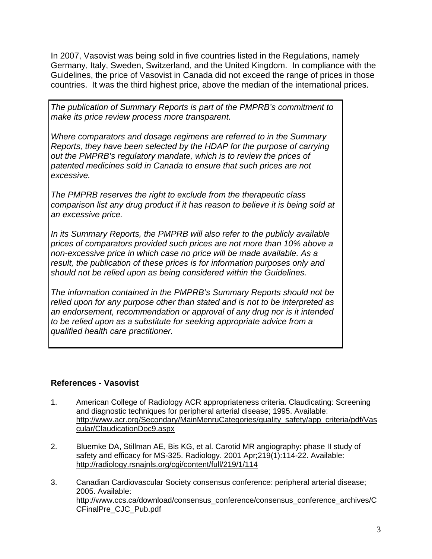In 2007, Vasovist was being sold in five countries listed in the Regulations, namely Germany, Italy, Sweden, Switzerland, and the United Kingdom. In compliance with the Guidelines, the price of Vasovist in Canada did not exceed the range of prices in those countries. It was the third highest price, above the median of the international prices.

*The publication of Summary Reports is part of the PMPRB's commitment to make its price review process more transparent.* 

*Where comparators and dosage regimens are referred to in the Summary Reports, they have been selected by the HDAP for the purpose of carrying out the PMPRB's regulatory mandate, which is to review the prices of patented medicines sold in Canada to ensure that such prices are not excessive.* 

*The PMPRB reserves the right to exclude from the therapeutic class comparison list any drug product if it has reason to believe it is being sold at an excessive price.* 

*In its Summary Reports, the PMPRB will also refer to the publicly available prices of comparators provided such prices are not more than 10% above a non-excessive price in which case no price will be made available. As a result, the publication of these prices is for information purposes only and should not be relied upon as being considered within the Guidelines.* 

*The information contained in the PMPRB's Summary Reports should not be relied upon for any purpose other than stated and is not to be interpreted as an endorsement, recommendation or approval of any drug nor is it intended to be relied upon as a substitute for seeking appropriate advice from a qualified health care practitioner.* 

# **References - Vasovist**

- 1. American College of Radiology ACR appropriateness criteria. Claudicating: Screening and diagnostic techniques for peripheral arterial disease; 1995. Available: http://www.acr.org/Secondary/MainMenruCategories/quality\_safety/app\_criteria/pdf/Vas cular/ClaudicationDoc9.aspx
- 2. Bluemke DA, Stillman AE, Bis KG, et al. Carotid MR angiography: phase II study of safety and efficacy for MS-325. Radiology. 2001 Apr;219(1):114-22. Available: http://radiology.rsnajnls.org/cgi/content/full/219/1/114
- 3. Canadian Cardiovascular Society consensus conference: peripheral arterial disease; 2005. Available: http://www.ccs.ca/download/consensus\_conference/consensus\_conference\_archives/C CFinalPre\_CJC\_Pub.pdf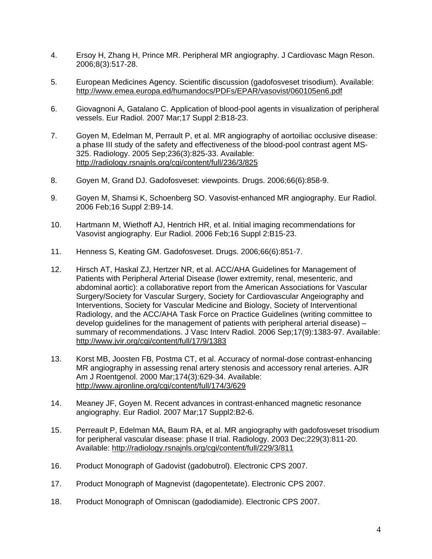- 4. Ersoy H, Zhang H, Prince MR. Peripheral MR angiography. J Cardiovasc Magn Reson. 2006;8(3):517-28.
- 5. European Medicines Agency. Scientific discussion (gadofosveset trisodium). Available: http://www.emea.europa.ed/humandocs/PDFs/EPAR/vasovist/060105en6.pdf
- 6. Giovagnoni A, Gatalano C. Application of blood-pool agents in visualization of peripheral vessels. Eur Radiol. 2007 Mar;17 Suppl 2:B18-23.
- 7. Goyen M, Edelman M, Perrault P, et al. MR angiography of aortoiliac occlusive disease: a phase III study of the safety and effectiveness of the blood-pool contrast agent MS-325. Radiology. 2005 Sep;236(3):825-33. Available: http://radiology.rsnajnls.org/cgi/content/full/236/3/825
- 8. Goyen M, Grand DJ. Gadofosveset: viewpoints. Drugs. 2006;66(6):858-9.
- 9. Goyen M, Shamsi K, Schoenberg SO. Vasovist-enhanced MR angiography. Eur Radiol. 2006 Feb;16 Suppl 2:B9-14.
- 10. Hartmann M, Wiethoff AJ, Hentrich HR, et al. Initial imaging recommendations for Vasovist angiography. Eur Radiol. 2006 Feb;16 Suppl 2:B15-23.
- 11. Henness S, Keating GM. Gadofosveset. Drugs. 2006;66(6):851-7.
- 12. Hirsch AT, Haskal ZJ, Hertzer NR, et al. ACC/AHA Guidelines for Management of Patients with Peripheral Arterial Disease (lower extremity, renal, mesenteric, and abdominal aortic): a collaborative report from the American Associations for Vascular Surgery/Society for Vascular Surgery, Society for Cardiovascular Angeiography and Interventions, Society for Vascular Medicine and Biology, Society of Interventional Radiology, and the ACC/AHA Task Force on Practice Guidelines (writing committee to develop guidelines for the management of patients with peripheral arterial disease) – summary of recommendations. J Vasc Interv Radiol. 2006 Sep;17(9):1383-97. Available: http://www.jvir.org/cgi/content/full/17/9/1383
- 13. Korst MB, Joosten FB, Postma CT, et al. Accuracy of normal-dose contrast-enhancing MR angiography in assessing renal artery stenosis and accessory renal arteries. AJR Am J Roentgenol. 2000 Mar;174(3):629-34. Available: http://www.ajronline.org/cgi/content/full/174/3/629
- 14. Meaney JF, Goyen M. Recent advances in contrast-enhanced magnetic resonance angiography. Eur Radiol. 2007 Mar;17 Suppl2:B2-6.
- 15. Perreault P, Edelman MA, Baum RA, et al. MR angiography with gadofosveset trisodium for peripheral vascular disease: phase II trial. Radiology. 2003 Dec;229(3):811-20. Available: http://radiology.rsnajnls.org/cgi/content/full/229/3/811
- 16. Product Monograph of Gadovist (gadobutrol). Electronic CPS 2007.
- 17. Product Monograph of Magnevist (dagopentetate). Electronic CPS 2007.
- 18. Product Monograph of Omniscan (gadodiamide). Electronic CPS 2007.